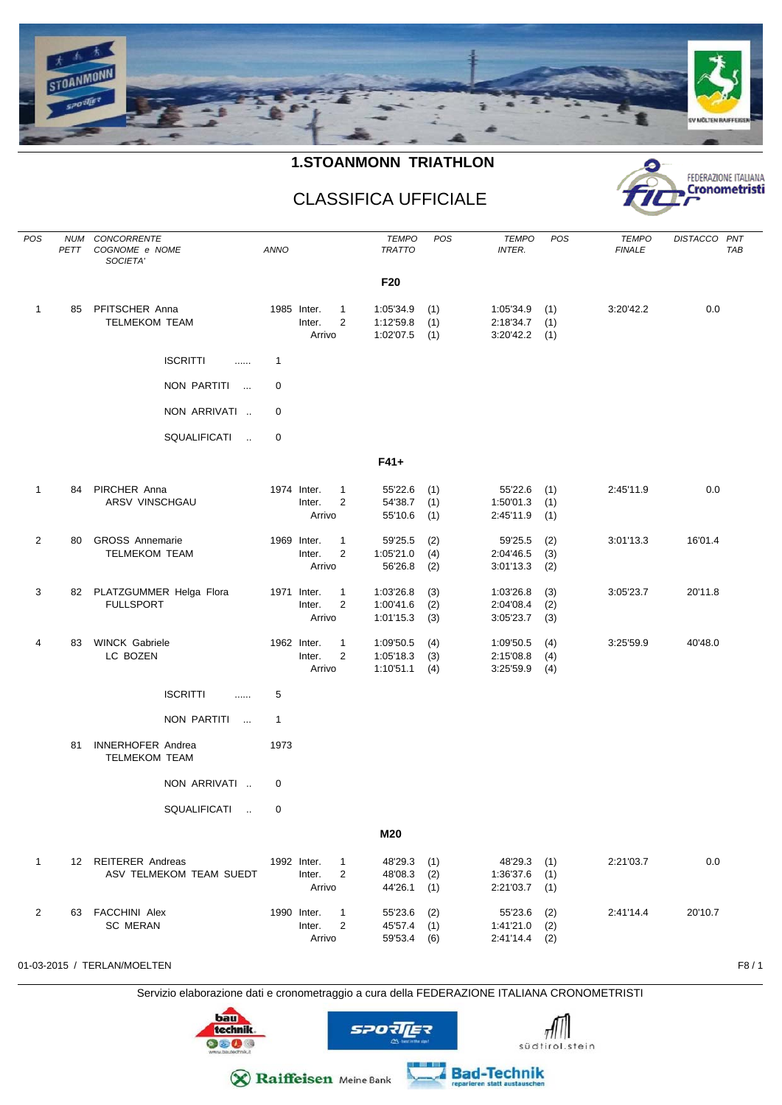

## **1.STOANMONN TRIATHLON**



## CLASSIFICA UFFICIALE

| POS            | PETT | NUM CONCORRENTE<br>COGNOME e NOME<br>SOCIETA'    | <b>ANNO</b>  |                                                                     | <b>TEMPO</b><br><b>TRATTO</b>         | POS               | <b>TEMPO</b><br><b>INTER.</b>                     | POS               | <b>TEMPO</b><br><b>FINALE</b> | DISTACCO PNT<br><b>TAB</b> |
|----------------|------|--------------------------------------------------|--------------|---------------------------------------------------------------------|---------------------------------------|-------------------|---------------------------------------------------|-------------------|-------------------------------|----------------------------|
|                |      |                                                  |              |                                                                     | F20                                   |                   |                                                   |                   |                               |                            |
| $\mathbf{1}$   | 85   | PFITSCHER Anna<br><b>TELMEKOM TEAM</b>           |              | 1985 Inter.<br>$\mathbf{1}$<br>$\overline{2}$<br>Inter.<br>Arrivo   | 1:05'34.9<br>1:12'59.8<br>1:02'07.5   | (1)<br>(1)<br>(1) | 1:05'34.9<br>2:18'34.7<br>3:20'42.2               | (1)<br>(1)<br>(1) | 3:20'42.2                     | 0.0                        |
|                |      | <b>ISCRITTI</b><br>                              | $\mathbf{1}$ |                                                                     |                                       |                   |                                                   |                   |                               |                            |
|                |      | NON PARTITI<br>$\sim$ 100 $\mu$                  | 0            |                                                                     |                                       |                   |                                                   |                   |                               |                            |
|                |      | NON ARRIVATI                                     | 0            |                                                                     |                                       |                   |                                                   |                   |                               |                            |
|                |      | SQUALIFICATI<br>$\sim$                           | 0            |                                                                     |                                       |                   |                                                   |                   |                               |                            |
|                |      |                                                  |              |                                                                     | $F41+$                                |                   |                                                   |                   |                               |                            |
| $\mathbf{1}$   | 84   | PIRCHER Anna<br>ARSV VINSCHGAU                   |              | 1974 Inter.<br>$\mathbf{1}$<br>Inter.<br>2<br>Arrivo                | 55'22.6<br>54'38.7<br>55'10.6         | (1)<br>(1)<br>(1) | 55'22.6<br>1:50'01.3<br>2:45'11.9                 | (1)<br>(1)<br>(1) | 2:45'11.9                     | 0.0                        |
| $\overline{2}$ | 80   | <b>GROSS Annemarie</b><br><b>TELMEKOM TEAM</b>   |              | 1969 Inter.<br>1<br>$\overline{2}$<br>Inter.<br>Arrivo              | 59'25.5<br>1:05'21.0<br>56'26.8       | (2)<br>(4)<br>(2) | 59'25.5<br>2:04'46.5<br>3:01'13.3                 | (2)<br>(3)<br>(2) | 3:01'13.3                     | 16'01.4                    |
| 3              |      | 82 PLATZGUMMER Helga Flora<br><b>FULLSPORT</b>   |              | 1971 Inter.<br>$\mathbf{1}$<br>Inter.<br>2<br>Arrivo                | 1:03'26.8<br>1:00'41.6<br>1:01'15.3   | (3)<br>(2)<br>(3) | 1:03'26.8<br>2:04'08.4<br>3:05'23.7               | (3)<br>(2)<br>(3) | 3:05'23.7                     | 20'11.8                    |
| 4              | 83   | <b>WINCK Gabriele</b><br>LC BOZEN                |              | 1962 Inter.<br>1<br>$\overline{2}$<br>Inter.<br>Arrivo              | 1:09'50.5<br>1:05'18.3<br>1:10'51.1   | (4)<br>(3)<br>(4) | 1:09'50.5<br>2:15'08.8<br>3:25'59.9               | (4)<br>(4)<br>(4) | 3:25'59.9                     | 40'48.0                    |
|                |      | <b>ISCRITTI</b><br>.                             | 5            |                                                                     |                                       |                   |                                                   |                   |                               |                            |
|                |      | NON PARTITI<br>$\sim$ 100 $\,$                   | $\mathbf{1}$ |                                                                     |                                       |                   |                                                   |                   |                               |                            |
|                | 81   | <b>INNERHOFER Andrea</b><br><b>TELMEKOM TEAM</b> | 1973         |                                                                     |                                       |                   |                                                   |                   |                               |                            |
|                |      | NON ARRIVATI                                     | 0            |                                                                     |                                       |                   |                                                   |                   |                               |                            |
|                |      | SQUALIFICATI<br>$\sim$                           | 0            |                                                                     |                                       |                   |                                                   |                   |                               |                            |
|                |      |                                                  |              |                                                                     | M20                                   |                   |                                                   |                   |                               |                            |
| $\mathbf{1}$   |      | 12 REITERER Andreas<br>ASV TELMEKOM TEAM SUEDT   |              | 1992 Inter.<br>$\overline{1}$<br>Inter.<br>$\overline{2}$<br>Arrivo | 48'29.3 (1)<br>48'08.3<br>44'26.1 (1) | (2)               | 48'29.3 (1)<br>$1:36'37.6$ (1)<br>$2:21'03.7$ (1) |                   | 2:21'03.7                     | 0.0                        |
| $\overline{2}$ |      | 63 FACCHINI Alex<br><b>SC MERAN</b>              |              | 1990 Inter.<br>$\mathbf{1}$<br>Inter.<br>2<br>Arrivo                | 55'23.6<br>45'57.4 (1)<br>59'53.4 (6) | (2)               | 55'23.6<br>$1:41'21.0$ (2)<br>$2:41'14.4$ (2)     | (2)               | 2:41'14.4                     | 20'10.7                    |

01-03-2015 / TERLAN/MOELTEN F8 / 1

Servizio elaborazione dati e cronometraggio a cura della FEDERAZIONE ITALIANA CRONOMETRISTI







Bad-Technik

**X** Raiffeisen Meine Bank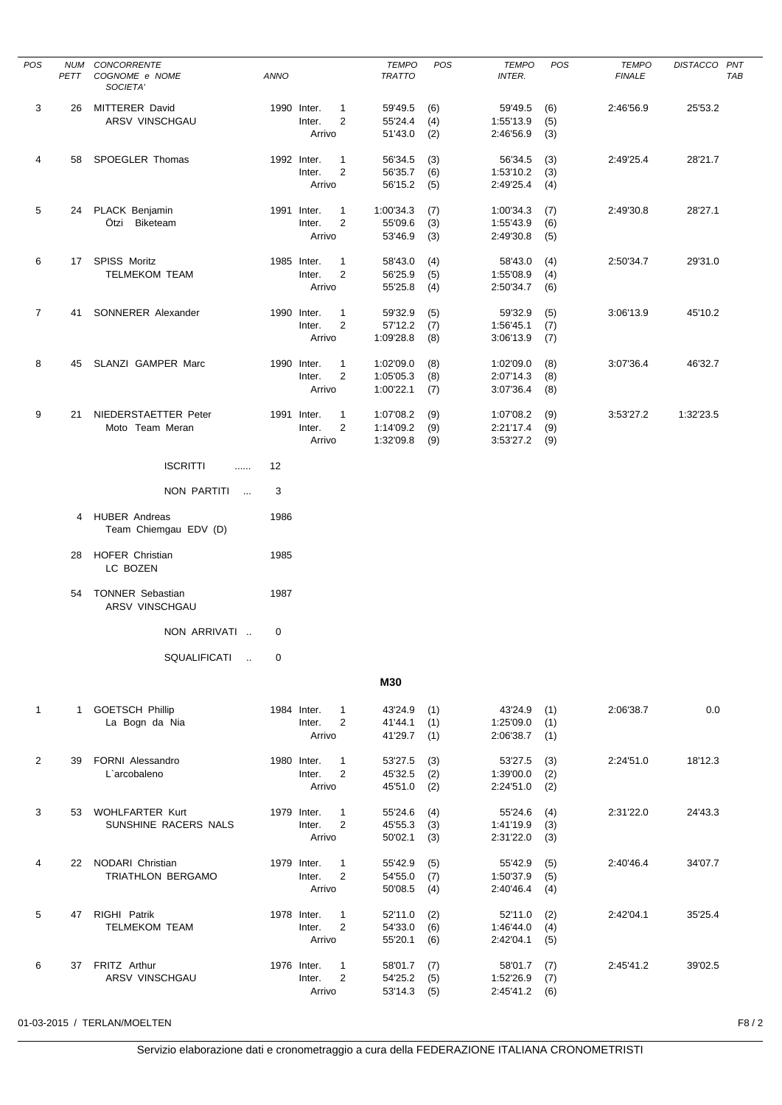| POS            | <b>NUM</b><br>PETT | CONCORRENTE<br>COGNOME e NOME<br>SOCIETA'     | <b>ANNO</b> |                                 |                                | <b>TEMPO</b><br><b>TRATTO</b>       | POS               | <b>TEMPO</b><br><b>INTER.</b>       | POS               | <b>TEMPO</b><br><b>FINALE</b> | DISTACCO PNT<br>TAB |  |
|----------------|--------------------|-----------------------------------------------|-------------|---------------------------------|--------------------------------|-------------------------------------|-------------------|-------------------------------------|-------------------|-------------------------------|---------------------|--|
| 3              | 26                 | <b>MITTERER David</b><br>ARSV VINSCHGAU       |             | 1990 Inter.<br>Inter.<br>Arrivo | $\mathbf{1}$<br>$\overline{2}$ | 59'49.5<br>55'24.4<br>51'43.0       | (6)<br>(4)<br>(2) | 59'49.5<br>1:55'13.9<br>2:46'56.9   | (6)<br>(5)<br>(3) | 2:46'56.9                     | 25'53.2             |  |
| 4              | 58                 | <b>SPOEGLER Thomas</b>                        |             | 1992 Inter.<br>Inter.<br>Arrivo | $\mathbf{1}$<br>$\overline{2}$ | 56'34.5<br>56'35.7<br>56'15.2       | (3)<br>(6)<br>(5) | 56'34.5<br>1:53'10.2<br>2:49'25.4   | (3)<br>(3)<br>(4) | 2:49'25.4                     | 28'21.7             |  |
| 5              |                    | 24 PLACK Benjamin<br>Ötzi Biketeam            |             | 1991 Inter.<br>Inter.<br>Arrivo | $\mathbf{1}$<br>$\overline{2}$ | 1:00'34.3<br>55'09.6<br>53'46.9     | (7)<br>(3)<br>(3) | 1:00'34.3<br>1:55'43.9<br>2:49'30.8 | (7)<br>(6)<br>(5) | 2:49'30.8                     | 28'27.1             |  |
| 6              |                    | 17 SPISS Moritz<br><b>TELMEKOM TEAM</b>       |             | 1985 Inter.<br>Inter.<br>Arrivo | $\mathbf{1}$<br>$\overline{2}$ | 58'43.0<br>56'25.9<br>55'25.8       | (4)<br>(5)<br>(4) | 58'43.0<br>1:55'08.9<br>2:50'34.7   | (4)<br>(4)<br>(6) | 2:50'34.7                     | 29'31.0             |  |
| $\overline{7}$ | 41                 | SONNERER Alexander                            |             | 1990 Inter.<br>Inter.<br>Arrivo | 1<br>$\overline{2}$            | 59'32.9<br>57'12.2<br>1:09'28.8     | (5)<br>(7)<br>(8) | 59'32.9<br>1:56'45.1<br>3:06'13.9   | (5)<br>(7)<br>(7) | 3:06'13.9                     | 45'10.2             |  |
| 8              | 45                 | SLANZI GAMPER Marc                            |             | 1990 Inter.<br>Inter.<br>Arrivo | $\mathbf{1}$<br>$\overline{2}$ | 1:02'09.0<br>1:05'05.3<br>1:00'22.1 | (8)<br>(8)<br>(7) | 1:02'09.0<br>2:07'14.3<br>3:07'36.4 | (8)<br>(8)<br>(8) | 3:07'36.4                     | 46'32.7             |  |
| 9              | 21                 | NIEDERSTAETTER Peter<br>Moto Team Meran       |             | 1991 Inter.<br>Inter.<br>Arrivo | $\mathbf{1}$<br>$\overline{2}$ | 1:07'08.2<br>1:14'09.2<br>1:32'09.8 | (9)<br>(9)<br>(9) | 1:07'08.2<br>2:21'17.4<br>3:53'27.2 | (9)<br>(9)<br>(9) | 3:53'27.2                     | 1:32'23.5           |  |
|                |                    | <b>ISCRITTI</b><br>$\cdots$                   | 12          |                                 |                                |                                     |                   |                                     |                   |                               |                     |  |
|                |                    | NON PARTITI<br>$\overline{\phantom{a}}$       | 3           |                                 |                                |                                     |                   |                                     |                   |                               |                     |  |
|                | 4                  | <b>HUBER Andreas</b><br>Team Chiemgau EDV (D) | 1986        |                                 |                                |                                     |                   |                                     |                   |                               |                     |  |
|                | 28                 | <b>HOFER Christian</b><br>LC BOZEN            | 1985        |                                 |                                |                                     |                   |                                     |                   |                               |                     |  |
|                | 54                 | <b>TONNER Sebastian</b><br>ARSV VINSCHGAU     | 1987        |                                 |                                |                                     |                   |                                     |                   |                               |                     |  |
|                |                    | NON ARRIVATI                                  | 0           |                                 |                                |                                     |                   |                                     |                   |                               |                     |  |
|                |                    | SQUALIFICATI<br>$\sim$                        | 0           |                                 |                                |                                     |                   |                                     |                   |                               |                     |  |
|                |                    |                                               |             |                                 |                                | <b>M30</b>                          |                   |                                     |                   |                               |                     |  |
| $\mathbf{1}$   |                    | 1 GOETSCH Phillip<br>La Bogn da Nia           |             | 1984 Inter.<br>Inter.<br>Arrivo | $\mathbf{1}$<br>$\overline{2}$ | 43'24.9<br>41'44.1<br>41'29.7       | (1)<br>(1)<br>(1) | 43'24.9<br>1:25'09.0<br>2:06'38.7   | (1)<br>(1)<br>(1) | 2:06'38.7                     | 0.0                 |  |
| $\overline{2}$ | 39                 | FORNI Alessandro<br>L'arcobaleno              |             | 1980 Inter.<br>Inter.<br>Arrivo | $\mathbf{1}$<br>$\overline{2}$ | 53'27.5<br>45'32.5<br>45'51.0       | (3)<br>(2)<br>(2) | 53'27.5<br>1:39'00.0<br>2:24'51.0   | (3)<br>(2)<br>(2) | 2:24'51.0                     | 18'12.3             |  |
| 3              |                    | 53 WOHLFARTER Kurt<br>SUNSHINE RACERS NALS    |             | 1979 Inter.<br>Inter.<br>Arrivo | $\mathbf{1}$<br>2              | 55'24.6<br>45'55.3<br>50'02.1       | (4)<br>(3)<br>(3) | 55'24.6<br>1:41'19.9<br>2:31'22.0   | (4)<br>(3)<br>(3) | 2:31'22.0                     | 24'43.3             |  |
| 4              |                    | 22 NODARI Christian<br>TRIATHLON BERGAMO      |             | 1979 Inter.<br>Inter.<br>Arrivo | $\mathbf{1}$<br>$\overline{2}$ | 55'42.9<br>54'55.0<br>50'08.5       | (5)<br>(7)<br>(4) | 55'42.9<br>1:50'37.9<br>2:40'46.4   | (5)<br>(5)<br>(4) | 2:40'46.4                     | 34'07.7             |  |
| 5              |                    | 47 RIGHI Patrik<br><b>TELMEKOM TEAM</b>       |             | 1978 Inter.<br>Inter.<br>Arrivo | $\mathbf{1}$<br>2              | 52'11.0<br>54'33.0<br>55'20.1       | (2)<br>(6)<br>(6) | 52'11.0<br>1:46'44.0<br>2:42'04.1   | (2)<br>(4)<br>(5) | 2:42'04.1                     | 35'25.4             |  |
| 6              | 37                 | FRITZ Arthur<br>ARSV VINSCHGAU                |             | 1976 Inter.<br>Inter.<br>Arrivo | $\mathbf{1}$<br>$\overline{2}$ | 58'01.7<br>54'25.2<br>53'14.3       | (7)<br>(5)<br>(5) | 58'01.7<br>1:52'26.9<br>2:45'41.2   | (7)<br>(7)<br>(6) | 2:45'41.2                     | 39'02.5             |  |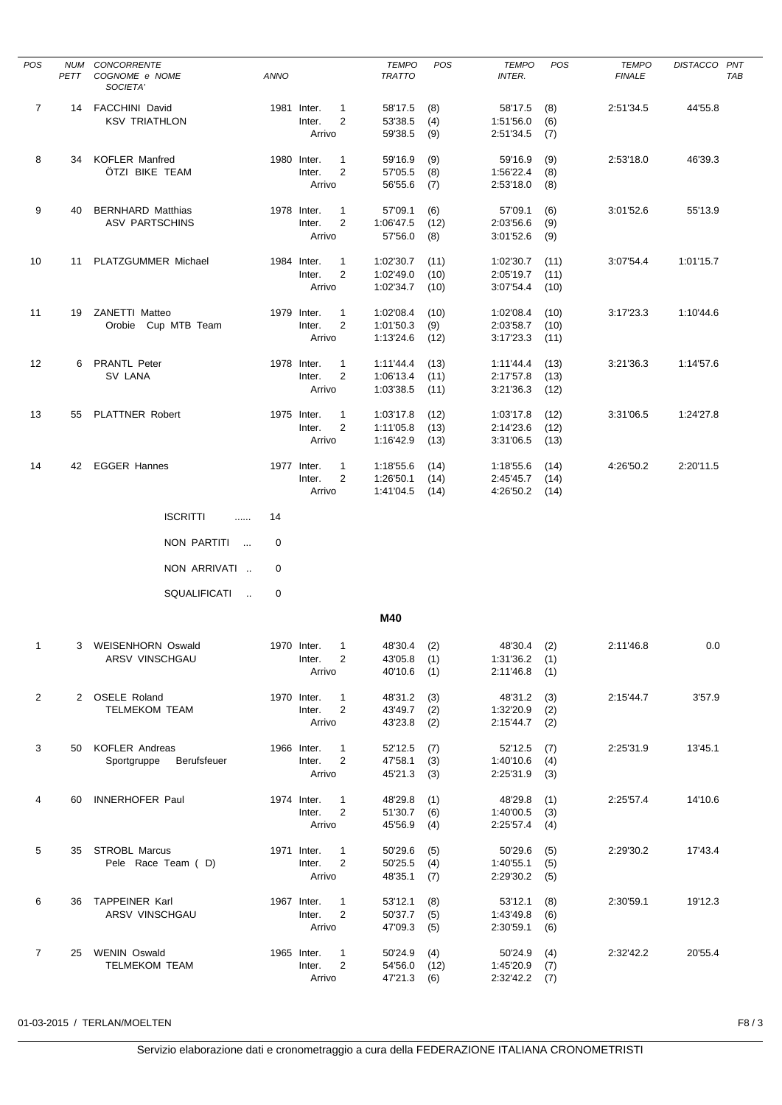| POS            | <b>NUM</b><br>PETT | CONCORRENTE<br>COGNOME e NOME<br>SOCIETA'         | <b>ANNO</b> |                                 |                                | <b>TEMPO</b><br><b>TRATTO</b>       | <b>POS</b>           | <b>TEMPO</b><br>INTER.              | POS                  | <b>TEMPO</b><br><b>FINALE</b> | <b>DISTACCO</b> | PNT<br>TAB |
|----------------|--------------------|---------------------------------------------------|-------------|---------------------------------|--------------------------------|-------------------------------------|----------------------|-------------------------------------|----------------------|-------------------------------|-----------------|------------|
| $\overline{7}$ | 14                 | <b>FACCHINI David</b><br><b>KSV TRIATHLON</b>     |             | 1981 Inter.<br>Inter.<br>Arrivo | 1<br>2                         | 58'17.5<br>53'38.5<br>59'38.5       | (8)<br>(4)<br>(9)    | 58'17.5<br>1:51'56.0<br>2:51'34.5   | (8)<br>(6)<br>(7)    | 2:51'34.5                     | 44'55.8         |            |
| 8              | 34                 | <b>KOFLER Manfred</b><br>ÖTZI BIKE TEAM           |             | 1980 Inter.<br>Inter.<br>Arrivo | $\mathbf{1}$<br>$\overline{2}$ | 59'16.9<br>57'05.5<br>56'55.6       | (9)<br>(8)<br>(7)    | 59'16.9<br>1:56'22.4<br>2:53'18.0   | (9)<br>(8)<br>(8)    | 2:53'18.0                     | 46'39.3         |            |
| 9              | 40                 | <b>BERNHARD Matthias</b><br><b>ASV PARTSCHINS</b> |             | 1978 Inter.<br>Inter.<br>Arrivo | $\mathbf{1}$<br>2              | 57'09.1<br>1:06'47.5<br>57'56.0     | (6)<br>(12)<br>(8)   | 57'09.1<br>2:03'56.6<br>3:01'52.6   | (6)<br>(9)<br>(9)    | 3:01'52.6                     | 55'13.9         |            |
| 10             | 11                 | PLATZGUMMER Michael                               |             | 1984 Inter.<br>Inter.<br>Arrivo | $\mathbf{1}$<br>$\overline{2}$ | 1:02'30.7<br>1:02'49.0<br>1:02'34.7 | (11)<br>(10)<br>(10) | 1:02'30.7<br>2:05'19.7<br>3:07'54.4 | (11)<br>(11)<br>(10) | 3:07'54.4                     | 1:01'15.7       |            |
| 11             | 19                 | <b>ZANETTI Matteo</b><br>Orobie Cup MTB Team      |             | 1979 Inter.<br>Inter.<br>Arrivo | $\mathbf{1}$<br>2              | 1:02'08.4<br>1:01'50.3<br>1:13'24.6 | (10)<br>(9)<br>(12)  | 1:02'08.4<br>2:03'58.7<br>3:17'23.3 | (10)<br>(10)<br>(11) | 3:17'23.3                     | 1:10'44.6       |            |
| 12             | 6                  | <b>PRANTL Peter</b><br>SV LANA                    |             | 1978 Inter.<br>Inter.<br>Arrivo | $\mathbf{1}$<br>2              | 1:11'44.4<br>1:06'13.4<br>1:03'38.5 | (13)<br>(11)<br>(11) | 1:11'44.4<br>2:17'57.8<br>3:21'36.3 | (13)<br>(13)<br>(12) | 3:21'36.3                     | 1:14'57.6       |            |
| 13             | 55                 | PLATTNER Robert                                   |             | 1975 Inter.<br>Inter.<br>Arrivo | 1<br>2                         | 1:03'17.8<br>1:11'05.8<br>1:16'42.9 | (12)<br>(13)<br>(13) | 1:03'17.8<br>2:14'23.6<br>3:31'06.5 | (12)<br>(12)<br>(13) | 3:31'06.5                     | 1:24'27.8       |            |
| 14             |                    | 42 EGGER Hannes                                   |             | 1977 Inter.<br>Inter.<br>Arrivo | $\mathbf{1}$<br>$\overline{2}$ | 1:18'55.6<br>1:26'50.1<br>1:41'04.5 | (14)<br>(14)<br>(14) | 1:18'55.6<br>2:45'45.7<br>4:26'50.2 | (14)<br>(14)<br>(14) | 4:26'50.2                     | 2:20'11.5       |            |
|                |                    | <b>ISCRITTI</b><br>.                              | 14          |                                 |                                |                                     |                      |                                     |                      |                               |                 |            |
|                |                    | NON PARTITI<br>$\sim$                             | 0           |                                 |                                |                                     |                      |                                     |                      |                               |                 |            |
|                |                    | NON ARRIVATI                                      | 0           |                                 |                                |                                     |                      |                                     |                      |                               |                 |            |
|                |                    | SQUALIFICATI<br>$\sim$                            | 0           |                                 |                                |                                     |                      |                                     |                      |                               |                 |            |
|                |                    |                                                   |             |                                 |                                | M40                                 |                      |                                     |                      |                               |                 |            |
| $\mathbf{1}$   |                    | 3 WEISENHORN Oswald<br>ARSV VINSCHGAU             |             | 1970 Inter.<br>Inter.<br>Arrivo | 1<br>$\overline{2}$            | 48'30.4<br>43'05.8<br>40'10.6       | (2)<br>(1)<br>(1)    | 48'30.4<br>1:31'36.2<br>2:11'46.8   | (2)<br>(1)<br>(1)    | 2:11'46.8                     | 0.0             |            |
| $\overline{2}$ |                    | 2 OSELE Roland<br><b>TELMEKOM TEAM</b>            |             | 1970 Inter.<br>Inter.<br>Arrivo | $\mathbf{1}$<br>$\overline{2}$ | 48'31.2<br>43'49.7<br>43'23.8       | (3)<br>(2)<br>(2)    | 48'31.2<br>1:32'20.9<br>2:15'44.7   | (3)<br>(2)<br>(2)    | 2:15'44.7                     | 3'57.9          |            |
| 3              |                    | 50 KOFLER Andreas<br>Sportgruppe<br>Berufsfeuer   |             | 1966 Inter.<br>Inter.<br>Arrivo | $\mathbf{1}$<br>$\overline{2}$ | 52'12.5<br>47'58.1<br>45'21.3       | (7)<br>(3)<br>(3)    | 52'12.5<br>1:40'10.6<br>2:25'31.9   | (7)<br>(4)<br>(3)    | 2:25'31.9                     | 13'45.1         |            |
| 4              | 60                 | INNERHOFER Paul                                   |             | 1974 Inter.<br>Inter.<br>Arrivo | $\mathbf{1}$<br>2              | 48'29.8<br>51'30.7<br>45'56.9       | (1)<br>(6)<br>(4)    | 48'29.8<br>1:40'00.5<br>2:25'57.4   | (1)<br>(3)<br>(4)    | 2:25'57.4                     | 14'10.6         |            |
| 5              |                    | 35 STROBL Marcus<br>Pele Race Team (D)            |             | 1971 Inter.<br>Inter.<br>Arrivo | $\mathbf{1}$<br>$\overline{2}$ | 50'29.6<br>50'25.5<br>48'35.1       | (5)<br>(4)<br>(7)    | 50'29.6<br>1:40'55.1<br>2:29'30.2   | (5)<br>(5)<br>(5)    | 2:29'30.2                     | 17'43.4         |            |
| 6              | 36                 | <b>TAPPEINER Karl</b><br>ARSV VINSCHGAU           |             | 1967 Inter.<br>Inter.<br>Arrivo | $\mathbf{1}$<br>$\overline{2}$ | 53'12.1<br>50'37.7<br>47'09.3       | (8)<br>(5)<br>(5)    | 53'12.1<br>1:43'49.8<br>2:30'59.1   | (8)<br>(6)<br>(6)    | 2:30'59.1                     | 19'12.3         |            |
| $\overline{7}$ | 25                 | <b>WENIN Oswald</b><br><b>TELMEKOM TEAM</b>       |             | 1965 Inter.<br>Inter.<br>Arrivo | 1<br>$\overline{2}$            | 50'24.9<br>54'56.0<br>47'21.3       | (4)<br>(12)<br>(6)   | 50'24.9<br>1:45'20.9<br>2:32'42.2   | (4)<br>(7)<br>(7)    | 2:32'42.2                     | 20'55.4         |            |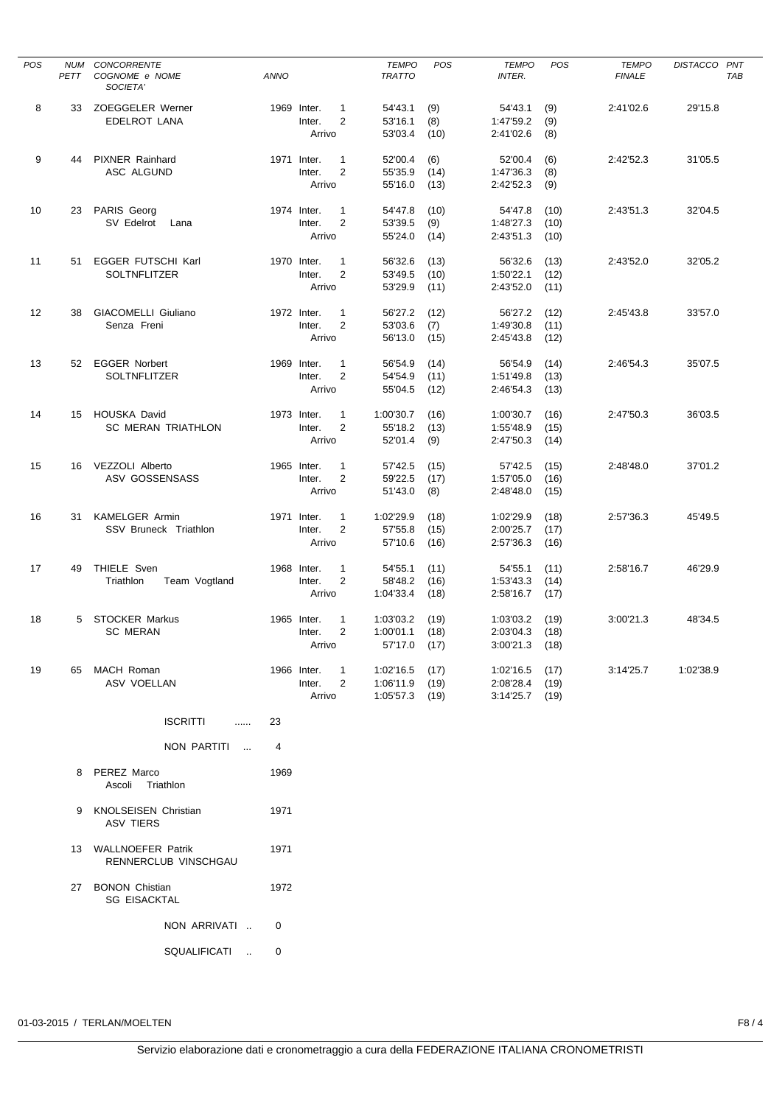| <b>POS</b> | NUM<br>PETT | CONCORRENTE<br>COGNOME e NOME<br>SOCIETA'        | <b>ANNO</b> |                                 |                                | <b>TEMPO</b><br><b>TRATTO</b>          | POS                  | <b>TEMPO</b><br><b>INTER.</b>              | <b>POS</b>           | <b>TEMPO</b><br><b>FINALE</b> | DISTACCO PNT | TAB |
|------------|-------------|--------------------------------------------------|-------------|---------------------------------|--------------------------------|----------------------------------------|----------------------|--------------------------------------------|----------------------|-------------------------------|--------------|-----|
| 8          | 33          | <b>ZOEGGELER Werner</b><br>EDELROT LANA          | 1969 Inter. | Inter.<br>Arrivo                | $\mathbf{1}$<br>$\overline{2}$ | 54'43.1<br>53'16.1<br>53'03.4          | (9)<br>(8)<br>(10)   | 54'43.1<br>1:47'59.2<br>2:41'02.6          | (9)<br>(9)<br>(8)    | 2:41'02.6                     | 29'15.8      |     |
| 9          | 44          | <b>PIXNER Rainhard</b><br>ASC ALGUND             | 1971 Inter. | Inter.<br>Arrivo                | $\mathbf{1}$<br>$\overline{2}$ | 52'00.4<br>55'35.9<br>55'16.0          | (6)<br>(14)<br>(13)  | 52'00.4<br>1:47'36.3<br>2:42'52.3          | (6)<br>(8)<br>(9)    | 2:42'52.3                     | 31'05.5      |     |
| 10         | 23          | PARIS Georg<br>SV Edelrot<br>Lana                | 1974 Inter. | Inter.<br>Arrivo                | $\mathbf{1}$<br>$\overline{2}$ | 54'47.8<br>53'39.5<br>55'24.0          | (10)<br>(9)<br>(14)  | 54'47.8<br>1:48'27.3<br>2:43'51.3          | (10)<br>(10)<br>(10) | 2:43'51.3                     | 32'04.5      |     |
| 11         | 51          | EGGER FUTSCHI Karl<br>SOLTNFLITZER               | 1970 Inter. | Inter.<br>Arrivo                | $\mathbf{1}$<br>$\overline{2}$ | 56'32.6<br>53'49.5<br>53'29.9          | (13)<br>(10)<br>(11) | 56'32.6<br>1:50'22.1<br>2:43'52.0          | (13)<br>(12)<br>(11) | 2:43'52.0                     | 32'05.2      |     |
| 12         | 38          | <b>GIACOMELLI Giuliano</b><br>Senza Freni        | 1972 Inter. | Inter.<br>Arrivo                | $\mathbf{1}$<br>$\overline{2}$ | 56'27.2<br>53'03.6<br>56'13.0          | (12)<br>(7)<br>(15)  | 56'27.2<br>1:49'30.8<br>2:45'43.8          | (12)<br>(11)<br>(12) | 2:45'43.8                     | 33'57.0      |     |
| 13         | 52          | <b>EGGER Norbert</b><br><b>SOLTNFLITZER</b>      | 1969 Inter. | Inter.<br>Arrivo                | 1<br>$\overline{2}$            | 56'54.9<br>54'54.9<br>55'04.5          | (14)<br>(11)<br>(12) | 56'54.9<br>1:51'49.8<br>2:46'54.3          | (14)<br>(13)<br>(13) | 2:46'54.3                     | 35'07.5      |     |
| 14         | 15          | <b>HOUSKA David</b><br><b>SC MERAN TRIATHLON</b> | 1973 Inter. | Inter.<br>Arrivo                | 1<br>$\overline{2}$            | 1:00'30.7<br>55'18.2<br>52'01.4        | (16)<br>(13)<br>(9)  | 1:00'30.7<br>1:55'48.9<br>2:47'50.3        | (16)<br>(15)<br>(14) | 2:47'50.3                     | 36'03.5      |     |
| 15         | 16          | VEZZOLI Alberto<br>ASV GOSSENSASS                | 1965 Inter. | Inter.<br>Arrivo                | 1<br>$\overline{2}$            | 57'42.5<br>59'22.5<br>51'43.0          | (15)<br>(17)<br>(8)  | 57'42.5<br>1:57'05.0<br>2:48'48.0          | (15)<br>(16)<br>(15) | 2:48'48.0                     | 37'01.2      |     |
| 16         | 31          | <b>KAMELGER Armin</b><br>SSV Bruneck Triathlon   | 1971 Inter. | Inter.<br>Arrivo                | $\mathbf{1}$<br>$\overline{2}$ | 1:02'29.9<br>57'55.8<br>57'10.6        | (18)<br>(15)<br>(16) | 1:02'29.9<br>2:00'25.7<br>2:57'36.3        | (18)<br>(17)<br>(16) | 2:57'36.3                     | 45'49.5      |     |
| 17         | 49          | THIELE Sven<br>Triathlon<br>Team Vogtland        | 1968 Inter. | Inter.<br>Arrivo                | 1<br>$\overline{2}$            | 54'55.1<br>58'48.2<br>1:04'33.4        | (11)<br>(16)<br>(18) | 54'55.1<br>1:53'43.3<br>2:58'16.7          | (11)<br>(14)<br>(17) | 2:58'16.7                     | 46'29.9      |     |
| 18         | 5           | <b>STOCKER Markus</b><br><b>SC MERAN</b>         | 1965 Inter. | Inter.<br>Arrivo                | 1<br>$\overline{2}$            | 1:03'03.2<br>1:00'01.1<br>57'17.0 (17) | (19)<br>(18)         | 1:03'03.2<br>2:03'04.3<br>$3:00'21.3$ (18) | (19)<br>(18)         | 3:00'21.3                     | 48'34.5      |     |
| 19         | 65          | MACH Roman<br><b>ASV VOELLAN</b>                 |             | 1966 Inter.<br>Inter.<br>Arrivo | $\mathbf{1}$<br>2              | 1:02'16.5<br>1:06'11.9<br>1:05'57.3    | (17)<br>(19)<br>(19) | 1:02'16.5<br>2:08'28.4<br>3:14'25.7        | (17)<br>(19)<br>(19) | 3:14'25.7                     | 1:02'38.9    |     |
|            |             | <b>ISCRITTI</b><br>.<br>NON PARTITI              | 23<br>4     |                                 |                                |                                        |                      |                                            |                      |                               |              |     |
|            |             | 8 PEREZ Marco<br>Ascoli Triathlon                | 1969        |                                 |                                |                                        |                      |                                            |                      |                               |              |     |
|            | 9           | <b>KNOLSEISEN Christian</b><br><b>ASV TIERS</b>  | 1971        |                                 |                                |                                        |                      |                                            |                      |                               |              |     |
|            |             | 13 WALLNOEFER Patrik<br>RENNERCLUB VINSCHGAU     | 1971        |                                 |                                |                                        |                      |                                            |                      |                               |              |     |
|            |             | 27 BONON Chistian<br><b>SG EISACKTAL</b>         | 1972        |                                 |                                |                                        |                      |                                            |                      |                               |              |     |
|            |             | NON ARRIVATI                                     | 0           |                                 |                                |                                        |                      |                                            |                      |                               |              |     |
|            |             | SQUALIFICATI<br>$\sim$                           | 0           |                                 |                                |                                        |                      |                                            |                      |                               |              |     |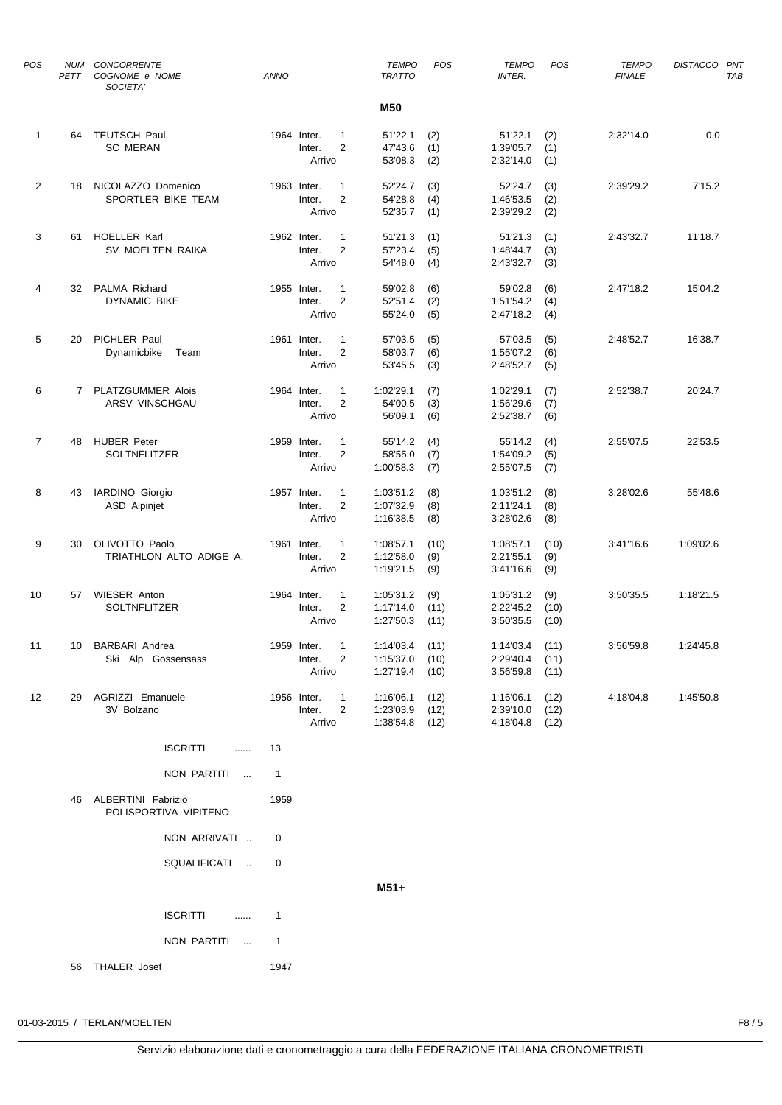| <b>POS</b>     | NUM<br>PETT | CONCORRENTE<br>COGNOME e NOME<br>SOCIETA'   | <b>ANNO</b>    |                                                         | <b>TEMPO</b><br><b>TRATTO</b>        | <b>POS</b>   | <b>TEMPO</b><br><b>INTER.</b>        | POS          | <b>TEMPO</b><br><b>FINALE</b> | DISTACCO PNT | TAB |
|----------------|-------------|---------------------------------------------|----------------|---------------------------------------------------------|--------------------------------------|--------------|--------------------------------------|--------------|-------------------------------|--------------|-----|
|                |             |                                             |                |                                                         | M50                                  |              |                                      |              |                               |              |     |
| $\mathbf{1}$   | 64          | <b>TEUTSCH Paul</b>                         |                | 1964 Inter.<br>1                                        | 51'22.1                              | (2)          | 51'22.1                              | (2)          | 2:32'14.0                     | 0.0          |     |
|                |             | <b>SC MERAN</b>                             |                | $\overline{2}$<br>Inter.                                | 47'43.6                              | (1)          | 1:39'05.7                            | (1)          |                               |              |     |
|                |             |                                             |                | Arrivo                                                  | 53'08.3                              | (2)          | 2:32'14.0                            | (1)          |                               |              |     |
| $\overline{2}$ | 18          | NICOLAZZO Domenico                          |                | 1963 Inter.<br>$\mathbf{1}$                             | 52'24.7                              | (3)          | 52'24.7                              | (3)          | 2:39'29.2                     | 7'15.2       |     |
|                |             | SPORTLER BIKE TEAM                          |                | $\overline{2}$<br>Inter.                                | 54'28.8                              | (4)          | 1:46'53.5                            | (2)          |                               |              |     |
|                |             |                                             |                | Arrivo                                                  | 52'35.7                              | (1)          | 2:39'29.2                            | (2)          |                               |              |     |
| 3              | 61          | <b>HOELLER Karl</b>                         |                | 1962 Inter.<br>$\mathbf{1}$                             | 51'21.3                              | (1)          | 51'21.3                              | (1)          | 2:43'32.7                     | 11'18.7      |     |
|                |             | SV MOELTEN RAIKA                            |                | $\overline{2}$<br>Inter.                                | 57'23.4                              | (5)          | 1:48'44.7                            | (3)          |                               |              |     |
|                |             |                                             |                | Arrivo                                                  | 54'48.0                              | (4)          | 2:43'32.7                            | (3)          |                               |              |     |
| 4              | 32          | <b>PALMA Richard</b>                        |                | 1955 Inter.<br>1                                        | 59'02.8                              | (6)          | 59'02.8                              | (6)          | 2:47'18.2                     | 15'04.2      |     |
|                |             | <b>DYNAMIC BIKE</b>                         |                | $\overline{2}$<br>Inter.                                | 52'51.4                              | (2)          | 1:51'54.2                            | (4)          |                               |              |     |
|                |             |                                             |                | Arrivo                                                  | 55'24.0                              | (5)          | 2:47'18.2                            | (4)          |                               |              |     |
| 5              | 20          | PICHLER Paul                                |                | 1961 Inter.<br>1                                        | 57'03.5                              | (5)          | 57'03.5                              | (5)          | 2:48'52.7                     | 16'38.7      |     |
|                |             | Dynamicbike<br>Team                         |                | $\overline{2}$<br>Inter.                                | 58'03.7                              | (6)          | 1:55'07.2                            | (6)          |                               |              |     |
|                |             |                                             |                | Arrivo                                                  | 53'45.5                              | (3)          | 2:48'52.7                            | (5)          |                               |              |     |
| 6              |             | 7 PLATZGUMMER Alois                         |                | 1964 Inter.<br>$\mathbf{1}$                             | 1:02'29.1                            | (7)          | 1:02'29.1                            | (7)          | 2:52'38.7                     | 20'24.7      |     |
|                |             | ARSV VINSCHGAU                              |                | $\overline{2}$<br>Inter.                                | 54'00.5                              | (3)          | 1:56'29.6                            | (7)          |                               |              |     |
|                |             |                                             |                | Arrivo                                                  | 56'09.1                              | (6)          | 2:52'38.7                            | (6)          |                               |              |     |
| $\overline{7}$ | 48          | <b>HUBER Peter</b>                          |                | 1959 Inter.<br>$\mathbf{1}$                             |                                      |              |                                      |              | 2:55'07.5                     | 22'53.5      |     |
|                |             | <b>SOLTNFLITZER</b>                         |                | $\overline{2}$<br>Inter.                                | 55'14.2<br>58'55.0                   | (4)<br>(7)   | 55'14.2<br>1:54'09.2                 | (4)<br>(5)   |                               |              |     |
|                |             |                                             |                | Arrivo                                                  | 1:00'58.3                            | (7)          | 2:55'07.5                            | (7)          |                               |              |     |
|                |             |                                             |                |                                                         |                                      |              |                                      |              |                               |              |     |
| 8              | 43          | IARDINO Giorgio<br>ASD Alpinjet             |                | 1957 Inter.<br>$\mathbf{1}$<br>$\overline{2}$<br>Inter. | 1:03'51.2<br>1:07'32.9               | (8)<br>(8)   | 1:03'51.2<br>2:11'24.1               | (8)<br>(8)   | 3:28'02.6                     | 55'48.6      |     |
|                |             |                                             |                | Arrivo                                                  | 1:16'38.5                            | (8)          | 3:28'02.6                            | (8)          |                               |              |     |
|                |             |                                             |                |                                                         | 1:08'57.1                            |              |                                      |              |                               |              |     |
| 9              | 30          | OLIVOTTO Paolo<br>TRIATHLON ALTO ADIGE A.   |                | 1961 Inter.<br>$\mathbf{1}$<br>2<br>Inter.              | 1:12'58.0                            | (10)<br>(9)  | 1:08'57.1<br>2:21'55.1               | (10)<br>(9)  | 3:41'16.6                     | 1:09'02.6    |     |
|                |             |                                             |                | Arrivo                                                  | 1:19'21.5                            | (9)          | 3:41'16.6                            | (9)          |                               |              |     |
| 10             | 57          | WIESER Anton                                |                | 1964 Inter.<br>$\mathbf{1}$                             | 1:05'31.2                            | (9)          | 1:05'31.2                            | (9)          | 3:50'35.5                     | 1:18'21.5    |     |
|                |             | SOLTNFLITZER                                |                | $\overline{2}$<br>Inter.                                | 1:17'14.0                            | (11)         | 2:22'45.2                            | (10)         |                               |              |     |
|                |             |                                             |                | Arrivo                                                  | 1:27'50.3                            | (11)         | 3:50'35.5                            | (10)         |                               |              |     |
|                |             |                                             |                |                                                         |                                      |              |                                      |              |                               |              |     |
| 11             |             | 10 BARBARI Andrea<br>Ski Alp Gossensass     |                | 1959 Inter. 1<br>Inter.<br>$\overline{2}$               | $1:14'03.4$ (11)<br>$1:15'37.0$ (10) |              | $1:14'03.4$ (11)<br>$2:29'40.4$ (11) |              | 3:56'59.8                     | 1:24'45.8    |     |
|                |             |                                             |                | Arrivo                                                  | 1:27'19.4                            | (10)         | 3:56'59.8                            | (11)         |                               |              |     |
|                |             | 29 AGRIZZI Emanuele                         |                |                                                         |                                      |              |                                      |              |                               |              |     |
| 12             |             | 3V Bolzano                                  |                | 1956 Inter.<br>$\mathbf{1}$<br>Inter.<br>2              | 1:16'06.1<br>1:23'03.9               | (12)<br>(12) | 1:16'06.1<br>2:39'10.0               | (12)<br>(12) | 4:18'04.8                     | 1:45'50.8    |     |
|                |             |                                             |                | Arrivo                                                  | 1:38'54.8                            | (12)         | 4:18'04.8                            | (12)         |                               |              |     |
|                |             | <b>ISCRITTI</b><br>$\cdots$                 | 13             |                                                         |                                      |              |                                      |              |                               |              |     |
|                |             | NON PARTITI                                 | $\overline{1}$ |                                                         |                                      |              |                                      |              |                               |              |     |
|                |             |                                             |                |                                                         |                                      |              |                                      |              |                               |              |     |
|                | 46          | ALBERTINI Fabrizio<br>POLISPORTIVA VIPITENO | 1959           |                                                         |                                      |              |                                      |              |                               |              |     |
|                |             | NON ARRIVATI                                | 0              |                                                         |                                      |              |                                      |              |                               |              |     |
|                |             | SQUALIFICATI                                | 0              |                                                         |                                      |              |                                      |              |                               |              |     |
|                |             |                                             |                |                                                         | $M51+$                               |              |                                      |              |                               |              |     |
|                |             | <b>ISCRITTI</b>                             |                |                                                         |                                      |              |                                      |              |                               |              |     |
|                |             | NON PARTITI                                 | $\overline{1}$ |                                                         |                                      |              |                                      |              |                               |              |     |
|                |             | 56 THALER Josef                             | 1947           |                                                         |                                      |              |                                      |              |                               |              |     |
|                |             |                                             |                |                                                         |                                      |              |                                      |              |                               |              |     |